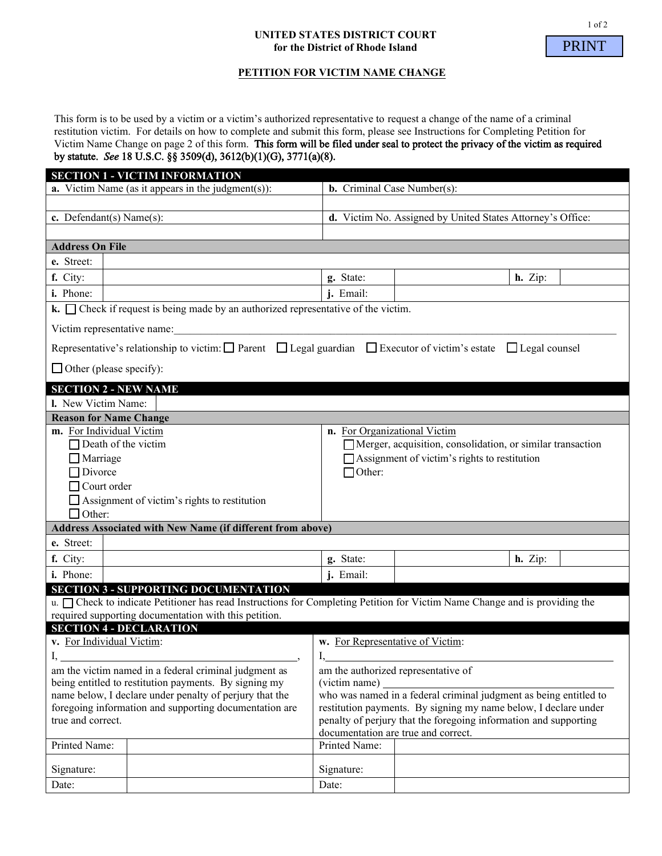#### **UNITED STATES DISTRICT COURT for the District of Rhode Island**



# **PETITION FOR VICTIM NAME CHANGE**

This form is to be used by a victim or a victim's authorized representative to request a change of the name of a criminal restitution victim. For details on how to complete and submit this form, please see Instructions for Completing Petition for Victim Name Change on page 2 of this form. This form will be filed under seal to protect the privacy of the victim as required by statute. *See* 18 U.S.C. §§ 3509(d), 3612(b)(1)(G), 3771(a)(8).

|                                                                                                                                                                                                 | <b>SECTION 1 - VICTIM INFORMATION</b>                                                                                                |                                                                   |                                                            |           |
|-------------------------------------------------------------------------------------------------------------------------------------------------------------------------------------------------|--------------------------------------------------------------------------------------------------------------------------------------|-------------------------------------------------------------------|------------------------------------------------------------|-----------|
|                                                                                                                                                                                                 | <b>a.</b> Victim Name (as it appears in the judgment $(s)$ ):                                                                        | <b>b.</b> Criminal Case Number(s):                                |                                                            |           |
|                                                                                                                                                                                                 |                                                                                                                                      |                                                                   |                                                            |           |
| c. Defendant(s) Name(s):                                                                                                                                                                        |                                                                                                                                      | d. Victim No. Assigned by United States Attorney's Office:        |                                                            |           |
|                                                                                                                                                                                                 |                                                                                                                                      |                                                                   |                                                            |           |
| <b>Address On File</b>                                                                                                                                                                          |                                                                                                                                      |                                                                   |                                                            |           |
|                                                                                                                                                                                                 |                                                                                                                                      |                                                                   |                                                            |           |
| e. Street:                                                                                                                                                                                      |                                                                                                                                      |                                                                   |                                                            |           |
| f. City:                                                                                                                                                                                        |                                                                                                                                      | g. State:                                                         |                                                            | $h.$ Zip: |
| i. Phone:                                                                                                                                                                                       |                                                                                                                                      | <i>i</i> . Email:                                                 |                                                            |           |
| $k.$ $\Box$ Check if request is being made by an authorized representative of the victim.                                                                                                       |                                                                                                                                      |                                                                   |                                                            |           |
| Victim representative name:                                                                                                                                                                     |                                                                                                                                      |                                                                   |                                                            |           |
|                                                                                                                                                                                                 | Representative's relationship to victim: $\Box$ Parent $\Box$ Legal guardian $\Box$ Executor of victim's estate $\Box$ Legal counsel |                                                                   |                                                            |           |
|                                                                                                                                                                                                 |                                                                                                                                      |                                                                   |                                                            |           |
| $\Box$ Other (please specify):                                                                                                                                                                  |                                                                                                                                      |                                                                   |                                                            |           |
| <b>SECTION 2 - NEW NAME</b>                                                                                                                                                                     |                                                                                                                                      |                                                                   |                                                            |           |
| I. New Victim Name:                                                                                                                                                                             |                                                                                                                                      |                                                                   |                                                            |           |
| <b>Reason for Name Change</b>                                                                                                                                                                   |                                                                                                                                      |                                                                   |                                                            |           |
| m. For Individual Victim                                                                                                                                                                        |                                                                                                                                      | n. For Organizational Victim                                      |                                                            |           |
| $\Box$ Death of the victim                                                                                                                                                                      |                                                                                                                                      |                                                                   | Merger, acquisition, consolidation, or similar transaction |           |
| $\Box$ Marriage                                                                                                                                                                                 |                                                                                                                                      |                                                                   | $\Box$ Assignment of victim's rights to restitution        |           |
| $\Box$ Divorce                                                                                                                                                                                  |                                                                                                                                      | $\Box$ Other:                                                     |                                                            |           |
| $\Box$ Court order                                                                                                                                                                              |                                                                                                                                      |                                                                   |                                                            |           |
|                                                                                                                                                                                                 | $\Box$ Assignment of victim's rights to restitution                                                                                  |                                                                   |                                                            |           |
| $\Box$ Other:                                                                                                                                                                                   |                                                                                                                                      |                                                                   |                                                            |           |
|                                                                                                                                                                                                 | Address Associated with New Name (if different from above)                                                                           |                                                                   |                                                            |           |
| e. Street:                                                                                                                                                                                      |                                                                                                                                      |                                                                   |                                                            |           |
| f. City:                                                                                                                                                                                        |                                                                                                                                      | g. State:                                                         |                                                            | $h.$ Zip: |
| i. Phone:                                                                                                                                                                                       |                                                                                                                                      | j. Email:                                                         |                                                            |           |
|                                                                                                                                                                                                 |                                                                                                                                      |                                                                   |                                                            |           |
|                                                                                                                                                                                                 | <b>SECTION 3 - SUPPORTING DOCUMENTATION</b>                                                                                          |                                                                   |                                                            |           |
| u. <sup>I</sup> Check to indicate Petitioner has read Instructions for Completing Petition for Victim Name Change and is providing the<br>required supporting documentation with this petition. |                                                                                                                                      |                                                                   |                                                            |           |
|                                                                                                                                                                                                 |                                                                                                                                      |                                                                   |                                                            |           |
| <b>SECTION 4 - DECLARATION</b><br>v. For Individual Victim:                                                                                                                                     |                                                                                                                                      |                                                                   |                                                            |           |
| $\mathbf{I},$                                                                                                                                                                                   |                                                                                                                                      | w. For Representative of Victim:<br>I,                            |                                                            |           |
|                                                                                                                                                                                                 |                                                                                                                                      |                                                                   |                                                            |           |
| am the victim named in a federal criminal judgment as                                                                                                                                           |                                                                                                                                      | am the authorized representative of<br>(victim name)              |                                                            |           |
| being entitled to restitution payments. By signing my                                                                                                                                           |                                                                                                                                      | who was named in a federal criminal judgment as being entitled to |                                                            |           |
| name below, I declare under penalty of perjury that the<br>foregoing information and supporting documentation are                                                                               |                                                                                                                                      | restitution payments. By signing my name below, I declare under   |                                                            |           |
| true and correct.                                                                                                                                                                               |                                                                                                                                      | penalty of perjury that the foregoing information and supporting  |                                                            |           |
|                                                                                                                                                                                                 |                                                                                                                                      | documentation are true and correct.                               |                                                            |           |
| Printed Name:                                                                                                                                                                                   |                                                                                                                                      | Printed Name:                                                     |                                                            |           |
|                                                                                                                                                                                                 |                                                                                                                                      |                                                                   |                                                            |           |
| Signature:                                                                                                                                                                                      |                                                                                                                                      | Signature:                                                        |                                                            |           |
| Date:                                                                                                                                                                                           |                                                                                                                                      | Date:                                                             |                                                            |           |